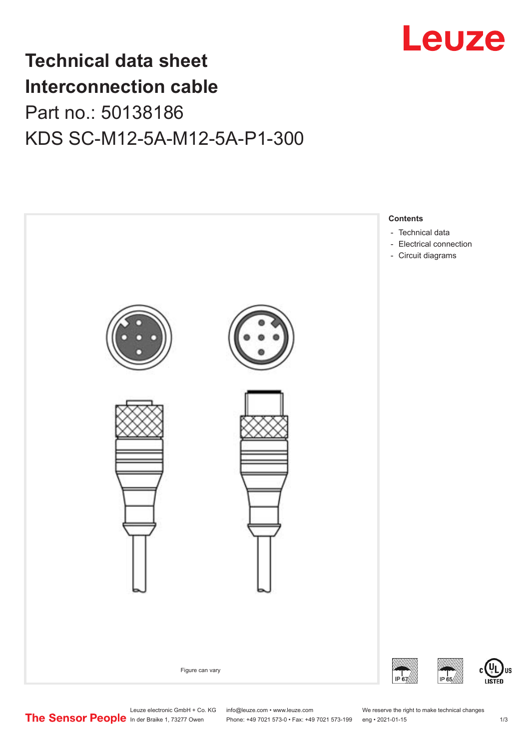

## **Technical data sheet Interconnection cable** Part no.: 50138186 KDS SC-M12-5A-M12-5A-P1-300



Leuze electronic GmbH + Co. KG info@leuze.com • www.leuze.com We reserve the right to make technical changes<br>
The Sensor People in der Braike 1, 73277 Owen Phone: +49 7021 573-0 • Fax: +49 7021 573-199 eng • 2021-01-15

Phone: +49 7021 573-0 • Fax: +49 7021 573-199 eng • 2021-01-15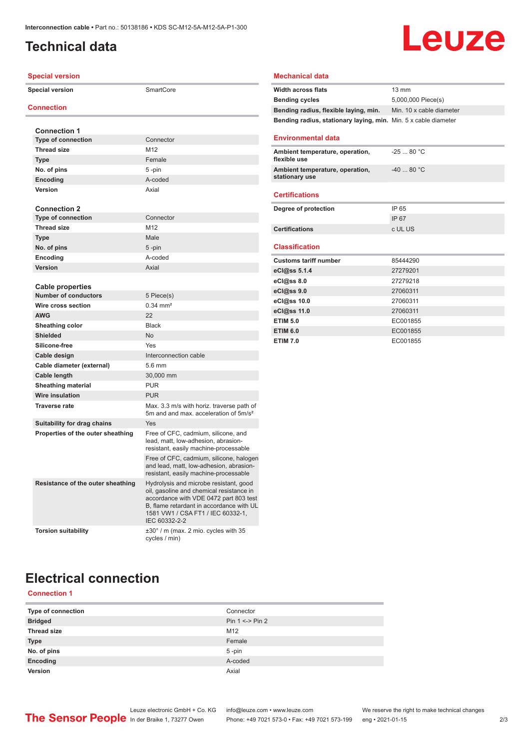## <span id="page-1-0"></span>**Technical data**

# Leuze

| <b>Special version</b>             |                                                                                                                                                                                                                                |
|------------------------------------|--------------------------------------------------------------------------------------------------------------------------------------------------------------------------------------------------------------------------------|
| <b>Special version</b>             | SmartCore                                                                                                                                                                                                                      |
| <b>Connection</b>                  |                                                                                                                                                                                                                                |
|                                    |                                                                                                                                                                                                                                |
| <b>Connection 1</b>                |                                                                                                                                                                                                                                |
| <b>Type of connection</b>          | Connector                                                                                                                                                                                                                      |
| <b>Thread size</b>                 | M12                                                                                                                                                                                                                            |
| <b>Type</b>                        | Female                                                                                                                                                                                                                         |
| No. of pins                        | 5-pin                                                                                                                                                                                                                          |
| Encoding                           | A-coded                                                                                                                                                                                                                        |
| Version                            | Axial                                                                                                                                                                                                                          |
| <b>Connection 2</b>                |                                                                                                                                                                                                                                |
| <b>Type of connection</b>          | Connector                                                                                                                                                                                                                      |
| <b>Thread size</b>                 | M <sub>12</sub>                                                                                                                                                                                                                |
| <b>Type</b>                        | Male                                                                                                                                                                                                                           |
| No. of pins                        | $5$ -pin                                                                                                                                                                                                                       |
| Encoding                           | A-coded                                                                                                                                                                                                                        |
| Version                            | Axial                                                                                                                                                                                                                          |
|                                    |                                                                                                                                                                                                                                |
| <b>Cable properties</b>            |                                                                                                                                                                                                                                |
| <b>Number of conductors</b>        | 5 Piece(s)                                                                                                                                                                                                                     |
| Wire cross section                 | $0.34 \, \text{mm}^2$                                                                                                                                                                                                          |
| <b>AWG</b>                         | 22                                                                                                                                                                                                                             |
| Sheathing color                    | <b>Black</b>                                                                                                                                                                                                                   |
| <b>Shielded</b>                    | <b>No</b>                                                                                                                                                                                                                      |
| Silicone-free                      | Yes                                                                                                                                                                                                                            |
| Cable design                       | Interconnection cable                                                                                                                                                                                                          |
| Cable diameter (external)          | $5.6 \text{ mm}$                                                                                                                                                                                                               |
| Cable length                       | 30,000 mm                                                                                                                                                                                                                      |
| <b>Sheathing material</b>          | <b>PUR</b>                                                                                                                                                                                                                     |
| <b>Wire insulation</b>             | <b>PUR</b>                                                                                                                                                                                                                     |
| <b>Traverse rate</b>               | Max. 3.3 m/s with horiz. traverse path of<br>5m and and max, acceleration of 5m/s <sup>2</sup>                                                                                                                                 |
| <b>Suitability for drag chains</b> | Yes                                                                                                                                                                                                                            |
| Properties of the outer sheathing  | Free of CFC, cadmium, silicone, and<br>lead, matt, low-adhesion, abrasion-<br>resistant, easily machine-processable                                                                                                            |
|                                    | Free of CFC, cadmium, silicone, halogen<br>and lead, matt, low-adhesion, abrasion-<br>resistant, easily machine-processable                                                                                                    |
| Resistance of the outer sheathing  | Hydrolysis and microbe resistant, good<br>oil, gasoline and chemical resistance in<br>accordance with VDE 0472 part 803 test<br>B, flame retardant in accordance with UL<br>1581 VW1 / CSA FT1 / IEC 60332-1,<br>IEC 60332-2-2 |
| <b>Torsion suitability</b>         | ±30° / m (max. 2 mio. cycles with 35<br>cycles / min)                                                                                                                                                                          |

#### **Mechanical data**

| <b>Width across flats</b>                                       | $13 \text{ mm}$          |
|-----------------------------------------------------------------|--------------------------|
| <b>Bending cycles</b>                                           | 5,000,000 Piece(s)       |
| Bending radius, flexible laying, min.                           | Min. 10 x cable diameter |
| Bending radius, stationary laying, min. Min. 5 x cable diameter |                          |
|                                                                 |                          |
| <b>Environmental data</b>                                       |                          |
| Ambient temperature, operation,<br>flexible use                 | $-2580 °C$               |
| Ambient temperature, operation,<br>stationary use               | $-4080 °C$               |
| <b>Certifications</b>                                           |                          |
| Degree of protection                                            | IP 65                    |
|                                                                 |                          |
|                                                                 | IP 67                    |
| <b>Certifications</b>                                           | c UL US                  |
|                                                                 |                          |
| <b>Classification</b>                                           |                          |
| <b>Customs tariff number</b>                                    | 85444290                 |
| eCl@ss 5.1.4                                                    | 27279201                 |
| eCl@ss 8.0                                                      | 27279218                 |
| eCl@ss 9.0                                                      | 27060311                 |
| eCl@ss 10.0                                                     | 27060311                 |
| eCl@ss 11.0                                                     | 27060311                 |
| <b>ETIM 5.0</b>                                                 | EC001855                 |
| <b>ETIM 6.0</b>                                                 | EC001855                 |

## **Electrical connection**

#### **Connection 1**

| Type of connection | Connector         |
|--------------------|-------------------|
| <b>Bridged</b>     | Pin $1 \le$ Pin 2 |
| <b>Thread size</b> | M12               |
| <b>Type</b>        | Female            |
| No. of pins        | 5-pin             |
| Encoding           | A-coded           |
| Version            | Axial             |

Leuze electronic GmbH + Co. KG info@leuze.com • www.leuze.com We reserve the right to make technical changes